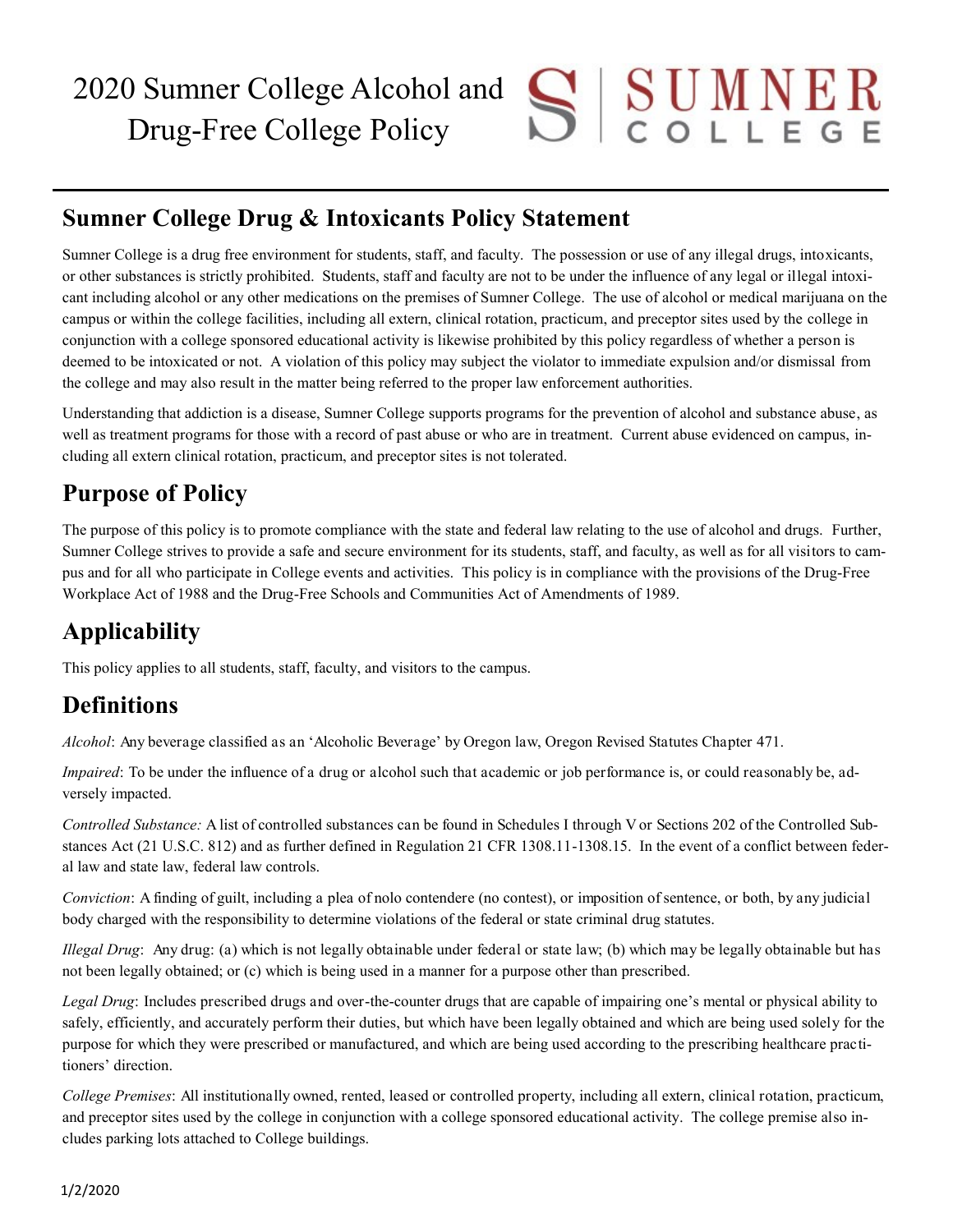# **Sumner College Drug & Intoxicants Policy Statement**

Sumner College is a drug free environment for students, staff, and faculty. The possession or use of any illegal drugs, intoxicants, or other substances is strictly prohibited. Students, staff and faculty are not to be under the influence of any legal or illegal intoxicant including alcohol or any other medications on the premises of Sumner College. The use of alcohol or medical marijuana on the campus or within the college facilities, including all extern, clinical rotation, practicum, and preceptor sites used by the college in conjunction with a college sponsored educational activity is likewise prohibited by this policy regardless of whether a person is deemed to be intoxicated or not. A violation of this policy may subject the violator to immediate expulsion and/or dismissal from the college and may also result in the matter being referred to the proper law enforcement authorities.

Understanding that addiction is a disease, Sumner College supports programs for the prevention of alcohol and substance abuse, as well as treatment programs for those with a record of past abuse or who are in treatment. Current abuse evidenced on campus, including all extern clinical rotation, practicum, and preceptor sites is not tolerated.

# **Purpose of Policy**

The purpose of this policy is to promote compliance with the state and federal law relating to the use of alcohol and drugs. Further, Sumner College strives to provide a safe and secure environment for its students, staff, and faculty, as well as for all visitors to campus and for all who participate in College events and activities. This policy is in compliance with the provisions of the Drug-Free Workplace Act of 1988 and the Drug-Free Schools and Communities Act of Amendments of 1989.

# **Applicability**

This policy applies to all students, staff, faculty, and visitors to the campus.

# **Definitions**

*Alcohol*: Any beverage classified as an 'Alcoholic Beverage' by Oregon law, Oregon Revised Statutes Chapter 471.

*Impaired*: To be under the influence of a drug or alcohol such that academic or job performance is, or could reasonably be, adversely impacted.

*Controlled Substance:* A list of controlled substances can be found in Schedules I through V or Sections 202 of the Controlled Substances Act (21 U.S.C. 812) and as further defined in Regulation 21 CFR 1308.11-1308.15. In the event of a conflict between federal law and state law, federal law controls.

*Conviction*: A finding of guilt, including a plea of nolo contendere (no contest), or imposition of sentence, or both, by any judicial body charged with the responsibility to determine violations of the federal or state criminal drug statutes.

*Illegal Drug*: Any drug: (a) which is not legally obtainable under federal or state law; (b) which may be legally obtainable but has not been legally obtained; or (c) which is being used in a manner for a purpose other than prescribed.

*Legal Drug*: Includes prescribed drugs and over-the-counter drugs that are capable of impairing one's mental or physical ability to safely, efficiently, and accurately perform their duties, but which have been legally obtained and which are being used solely for the purpose for which they were prescribed or manufactured, and which are being used according to the prescribing healthcare practitioners' direction.

*College Premises*: All institutionally owned, rented, leased or controlled property, including all extern, clinical rotation, practicum, and preceptor sites used by the college in conjunction with a college sponsored educational activity. The college premise also includes parking lots attached to College buildings.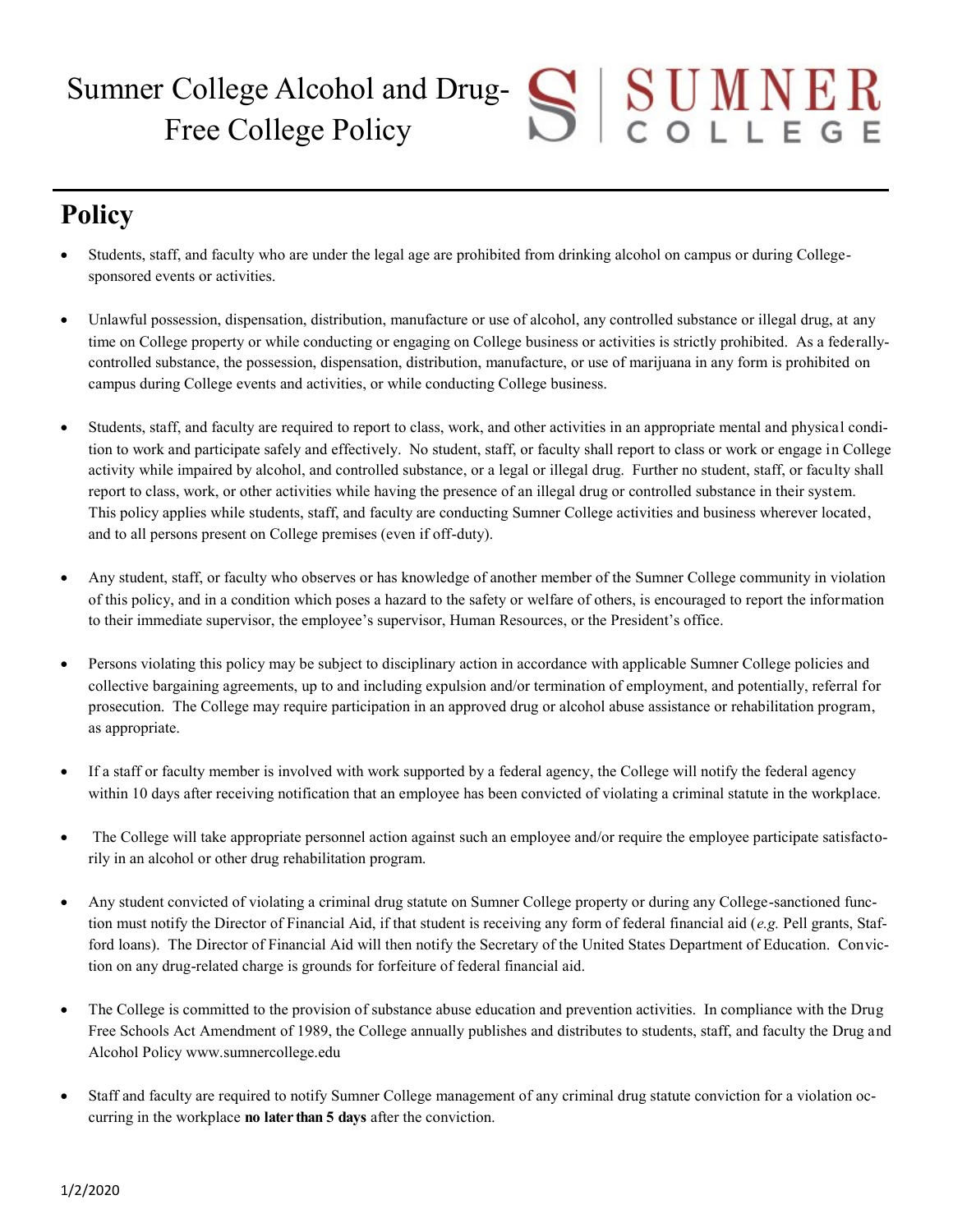# $S$  U M N E R Sumner College Alcohol and Drug-Free College Policy

# **Policy**

- Students, staff, and faculty who are under the legal age are prohibited from drinking alcohol on campus or during Collegesponsored events or activities.
- Unlawful possession, dispensation, distribution, manufacture or use of alcohol, any controlled substance or illegal drug, at any time on College property or while conducting or engaging on College business or activities is strictly prohibited. As a federallycontrolled substance, the possession, dispensation, distribution, manufacture, or use of marijuana in any form is prohibited on campus during College events and activities, or while conducting College business.
- Students, staff, and faculty are required to report to class, work, and other activities in an appropriate mental and physical condition to work and participate safely and effectively. No student, staff, or faculty shall report to class or work or engage in College activity while impaired by alcohol, and controlled substance, or a legal or illegal drug. Further no student, staff, or faculty shall report to class, work, or other activities while having the presence of an illegal drug or controlled substance in their system. This policy applies while students, staff, and faculty are conducting Sumner College activities and business wherever located, and to all persons present on College premises (even if off-duty).
- Any student, staff, or faculty who observes or has knowledge of another member of the Sumner College community in violation of this policy, and in a condition which poses a hazard to the safety or welfare of others, is encouraged to report the information to their immediate supervisor, the employee's supervisor, Human Resources, or the President's office.
- Persons violating this policy may be subject to disciplinary action in accordance with applicable Sumner College policies and collective bargaining agreements, up to and including expulsion and/or termination of employment, and potentially, referral for prosecution. The College may require participation in an approved drug or alcohol abuse assistance or rehabilitation program, as appropriate.
- If a staff or faculty member is involved with work supported by a federal agency, the College will notify the federal agency within 10 days after receiving notification that an employee has been convicted of violating a criminal statute in the workplace.
- The College will take appropriate personnel action against such an employee and/or require the employee participate satisfactorily in an alcohol or other drug rehabilitation program.
- Any student convicted of violating a criminal drug statute on Sumner College property or during any College-sanctioned function must notify the Director of Financial Aid, if that student is receiving any form of federal financial aid (*e.g.* Pell grants, Stafford loans). The Director of Financial Aid will then notify the Secretary of the United States Department of Education. Conviction on any drug-related charge is grounds for forfeiture of federal financial aid.
- The College is committed to the provision of substance abuse education and prevention activities. In compliance with the Drug Free Schools Act Amendment of 1989, the College annually publishes and distributes to students, staff, and faculty the Drug and Alcohol Policy www.sumnercollege.edu
- Staff and faculty are required to notify Sumner College management of any criminal drug statute conviction for a violation occurring in the workplace **no later than 5 days** after the conviction.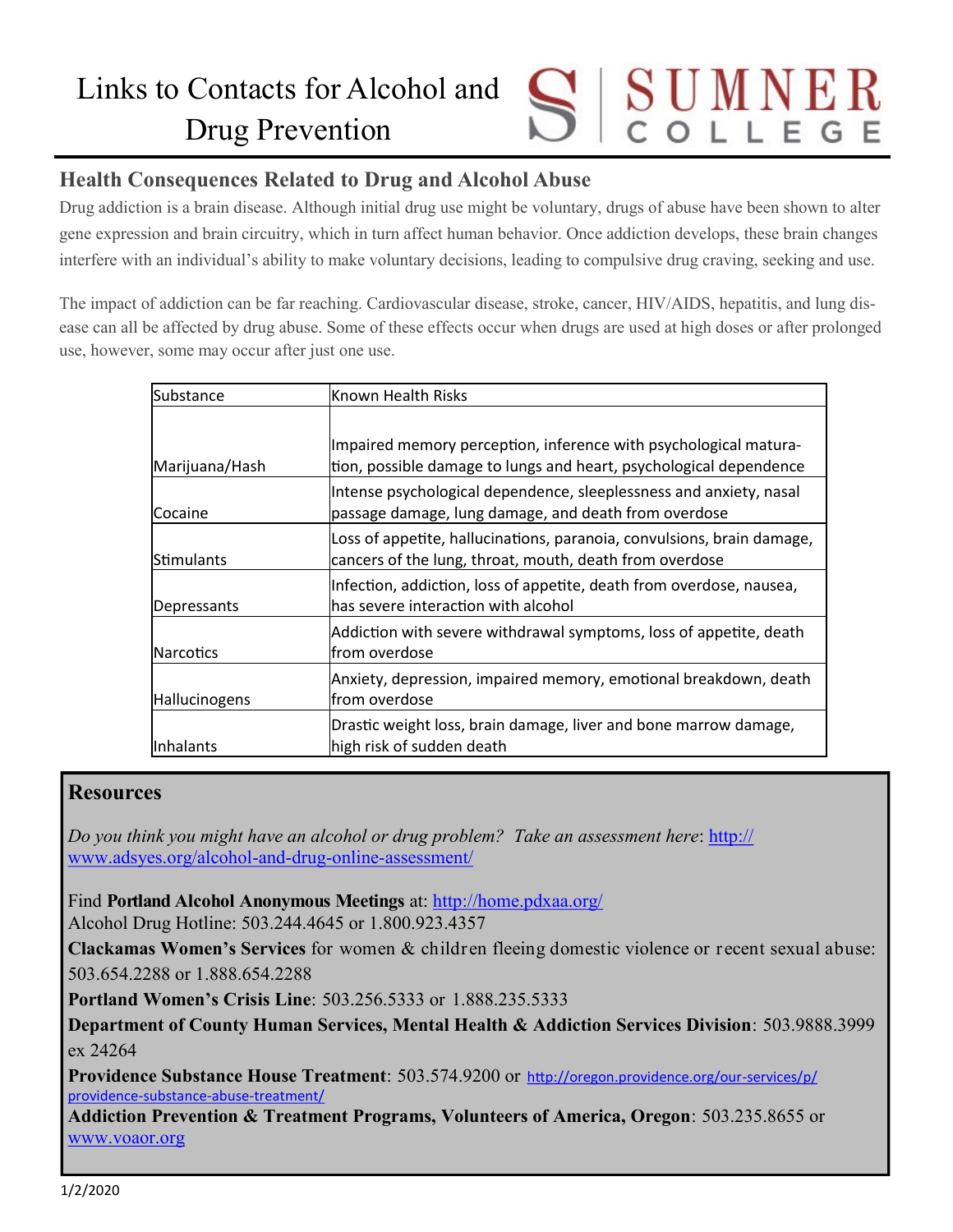# UMNER Links to Contacts for Alcohol and Drug Prevention

# **Health Consequences Related to Drug and Alcohol Abuse**

Drug addiction is a brain disease. Although initial drug use might be voluntary, drugs of abuse have been shown to alter gene expression and brain circuitry, which in turn affect human behavior. Once addiction develops, these brain changes interfere with an individual's ability to make voluntary decisions, leading to compulsive drug craving, seeking and use.

The impact of addiction can be far reaching. Cardiovascular disease, stroke, cancer, HIV/AIDS, hepatitis, and lung disease can all be affected by drug abuse. Some of these effects occur when drugs are used at high doses or after prolonged use, however, some may occur after just one use.

| Substance         | Known Health Risks                                                                                                                     |
|-------------------|----------------------------------------------------------------------------------------------------------------------------------------|
|                   |                                                                                                                                        |
| Marijuana/Hash    | Impaired memory perception, inference with psychological matura-<br>tion, possible damage to lungs and heart, psychological dependence |
| Cocaine           | Intense psychological dependence, sleeplessness and anxiety, nasal<br>passage damage, lung damage, and death from overdose             |
| <b>Stimulants</b> | Loss of appetite, hallucinations, paranoia, convulsions, brain damage,<br>cancers of the lung, throat, mouth, death from overdose      |
| Depressants       | Infection, addiction, loss of appetite, death from overdose, nausea,<br>has severe interaction with alcohol                            |
| <b>Narcotics</b>  | Addiction with severe withdrawal symptoms, loss of appetite, death<br>lfrom overdose                                                   |
| Hallucinogens     | Anxiety, depression, impaired memory, emotional breakdown, death<br>from overdose                                                      |
| Inhalants         | Drastic weight loss, brain damage, liver and bone marrow damage,<br>high risk of sudden death                                          |

## **Resources**

*Do you think you might have an alcohol or drug problem? Take an assessment here*: [http://](http://www.adsyes.org/alcohol-and-drug-online-assessment/) [www.adsyes.org/alcohol](http://www.adsyes.org/alcohol-and-drug-online-assessment/)-and-drug-online-assessment/

Find **Portland Alcohol Anonymous Meetings** at:<http://home.pdxaa.org/> Alcohol Drug Hotline: 503.244.4645 or 1.800.923.4357

**Clackamas Women's Services** for women & children fleeing domestic violence or recent sexual abuse: 503.654.2288 or 1.888.654.2288

**Portland Women's Crisis Line**: 503.256.5333 or 1.888.235.5333

**Department of County Human Services, Mental Health & Addiction Services Division**: 503.9888.3999 ex 24264

**Providence Substance House Treatment**: 503.574.9200 or [http://oregon.providence.org/our](http://oregon.providence.org/our-services/p/providence-substance-abuse-treatment/)-services/p/ providence-substance-abuse-[treatment/](http://oregon.providence.org/our-services/p/providence-substance-abuse-treatment/)

**Addiction Prevention & Treatment Programs, Volunteers of America, Oregon**: 503.235.8655 or [www.voaor.org](http://www.voaor.org)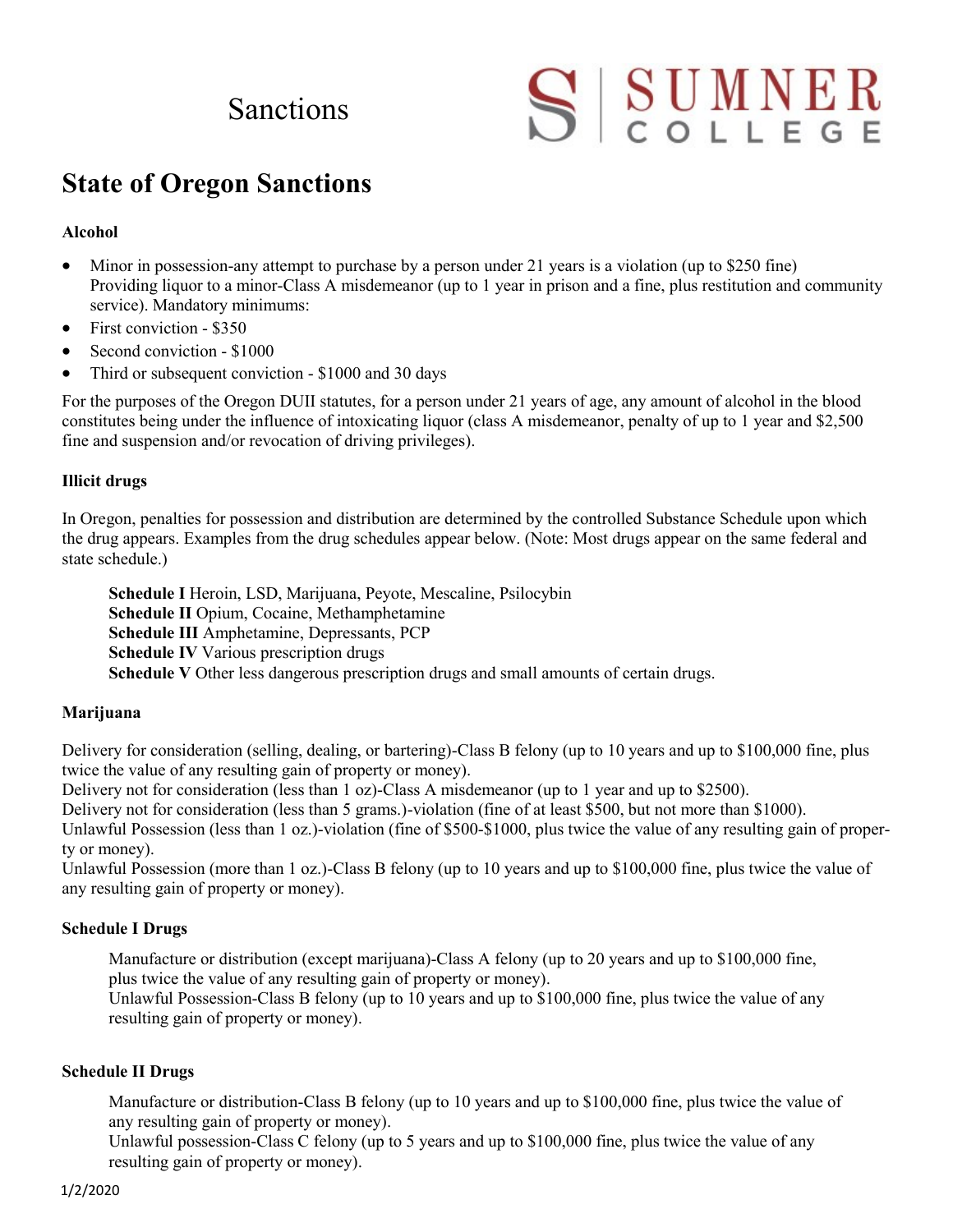# **Sanctions**

# SSUMNER

# **State of Oregon Sanctions**

## **Alcohol**

- Minor in possession-any attempt to purchase by a person under 21 years is a violation (up to \$250 fine) Providing liquor to a minor-Class A misdemeanor (up to 1 year in prison and a fine, plus restitution and community service). Mandatory minimums:
- First conviction \$350
- Second conviction \$1000
- Third or subsequent conviction \$1000 and 30 days

For the purposes of the Oregon DUII statutes, for a person under 21 years of age, any amount of alcohol in the blood constitutes being under the influence of intoxicating liquor (class A misdemeanor, penalty of up to 1 year and \$2,500 fine and suspension and/or revocation of driving privileges).

## **Illicit drugs**

In Oregon, penalties for possession and distribution are determined by the controlled Substance Schedule upon which the drug appears. Examples from the drug schedules appear below. (Note: Most drugs appear on the same federal and state schedule.)

**Schedule I** Heroin, LSD, Marijuana, Peyote, Mescaline, Psilocybin **Schedule II** Opium, Cocaine, Methamphetamine **Schedule III** Amphetamine, Depressants, PCP **Schedule IV** Various prescription drugs **Schedule V** Other less dangerous prescription drugs and small amounts of certain drugs.

## **Marijuana**

Delivery for consideration (selling, dealing, or bartering)-Class B felony (up to 10 years and up to \$100,000 fine, plus twice the value of any resulting gain of property or money).

Delivery not for consideration (less than 1 oz)-Class A misdemeanor (up to 1 year and up to \$2500).

Delivery not for consideration (less than 5 grams.)-violation (fine of at least \$500, but not more than \$1000).

Unlawful Possession (less than 1 oz.)-violation (fine of \$500-\$1000, plus twice the value of any resulting gain of property or money).

Unlawful Possession (more than 1 oz.)-Class B felony (up to 10 years and up to \$100,000 fine, plus twice the value of any resulting gain of property or money).

## **Schedule I Drugs**

Manufacture or distribution (except marijuana)-Class A felony (up to 20 years and up to \$100,000 fine, plus twice the value of any resulting gain of property or money).

Unlawful Possession-Class B felony (up to 10 years and up to \$100,000 fine, plus twice the value of any resulting gain of property or money).

## **Schedule II Drugs**

Manufacture or distribution-Class B felony (up to 10 years and up to \$100,000 fine, plus twice the value of any resulting gain of property or money).

Unlawful possession-Class C felony (up to 5 years and up to \$100,000 fine, plus twice the value of any resulting gain of property or money).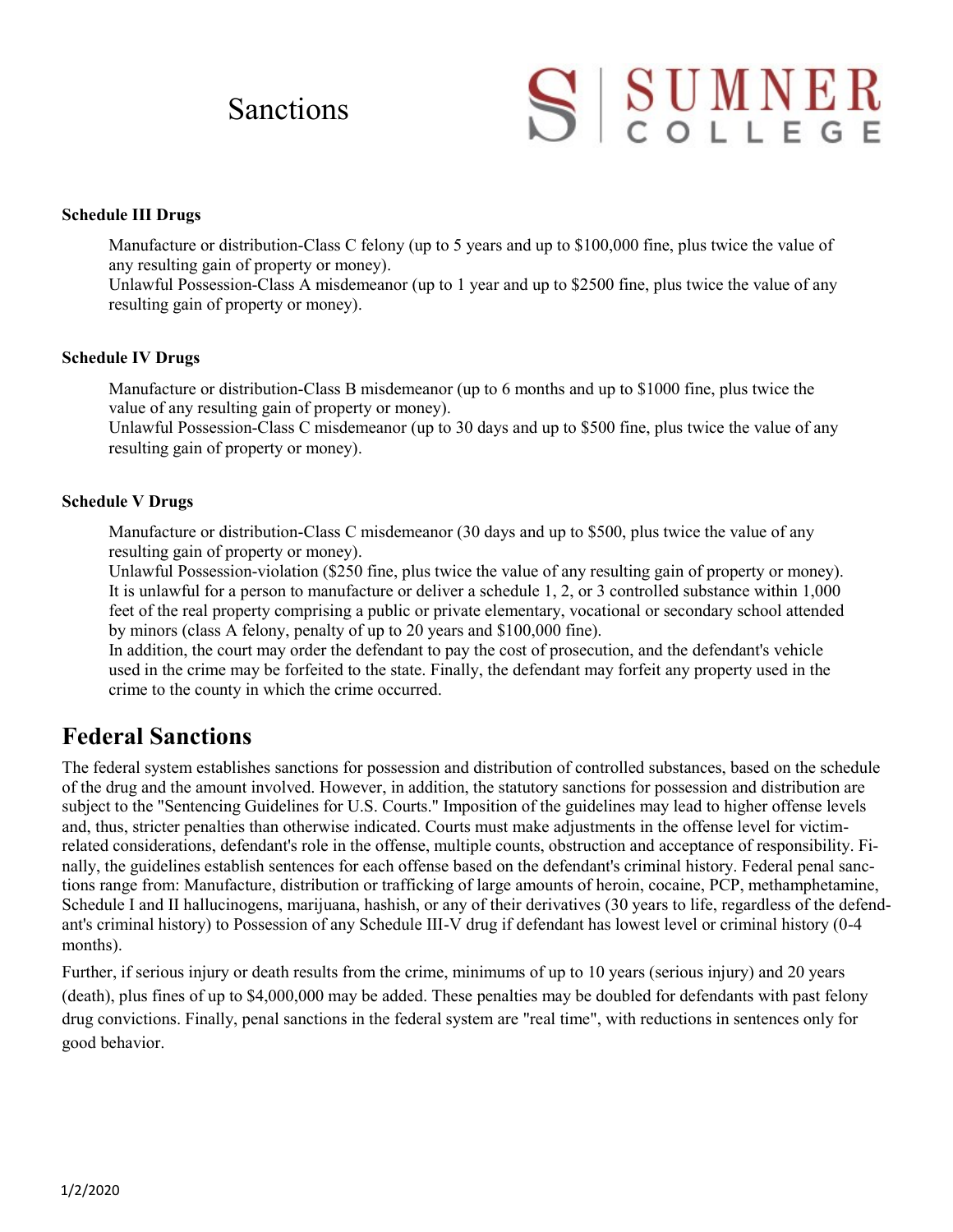# Sanctions

# SSUMNER

## **Schedule III Drugs**

Manufacture or distribution-Class C felony (up to 5 years and up to \$100,000 fine, plus twice the value of any resulting gain of property or money).

Unlawful Possession-Class A misdemeanor (up to 1 year and up to \$2500 fine, plus twice the value of any resulting gain of property or money).

## **Schedule IV Drugs**

Manufacture or distribution-Class B misdemeanor (up to 6 months and up to \$1000 fine, plus twice the value of any resulting gain of property or money).

Unlawful Possession-Class C misdemeanor (up to 30 days and up to \$500 fine, plus twice the value of any resulting gain of property or money).

## **Schedule V Drugs**

Manufacture or distribution-Class C misdemeanor (30 days and up to \$500, plus twice the value of any resulting gain of property or money).

Unlawful Possession-violation (\$250 fine, plus twice the value of any resulting gain of property or money). It is unlawful for a person to manufacture or deliver a schedule 1, 2, or 3 controlled substance within 1,000 feet of the real property comprising a public or private elementary, vocational or secondary school attended by minors (class A felony, penalty of up to 20 years and \$100,000 fine).

In addition, the court may order the defendant to pay the cost of prosecution, and the defendant's vehicle used in the crime may be forfeited to the state. Finally, the defendant may forfeit any property used in the crime to the county in which the crime occurred.

# **Federal Sanctions**

The federal system establishes sanctions for possession and distribution of controlled substances, based on the schedule of the drug and the amount involved. However, in addition, the statutory sanctions for possession and distribution are subject to the "Sentencing Guidelines for U.S. Courts." Imposition of the guidelines may lead to higher offense levels and, thus, stricter penalties than otherwise indicated. Courts must make adjustments in the offense level for victimrelated considerations, defendant's role in the offense, multiple counts, obstruction and acceptance of responsibility. Finally, the guidelines establish sentences for each offense based on the defendant's criminal history. Federal penal sanctions range from: Manufacture, distribution or trafficking of large amounts of heroin, cocaine, PCP, methamphetamine, Schedule I and II hallucinogens, marijuana, hashish, or any of their derivatives (30 years to life, regardless of the defendant's criminal history) to Possession of any Schedule III-V drug if defendant has lowest level or criminal history (0-4 months).

Further, if serious injury or death results from the crime, minimums of up to 10 years (serious injury) and 20 years (death), plus fines of up to \$4,000,000 may be added. These penalties may be doubled for defendants with past felony drug convictions. Finally, penal sanctions in the federal system are "real time", with reductions in sentences only for good behavior.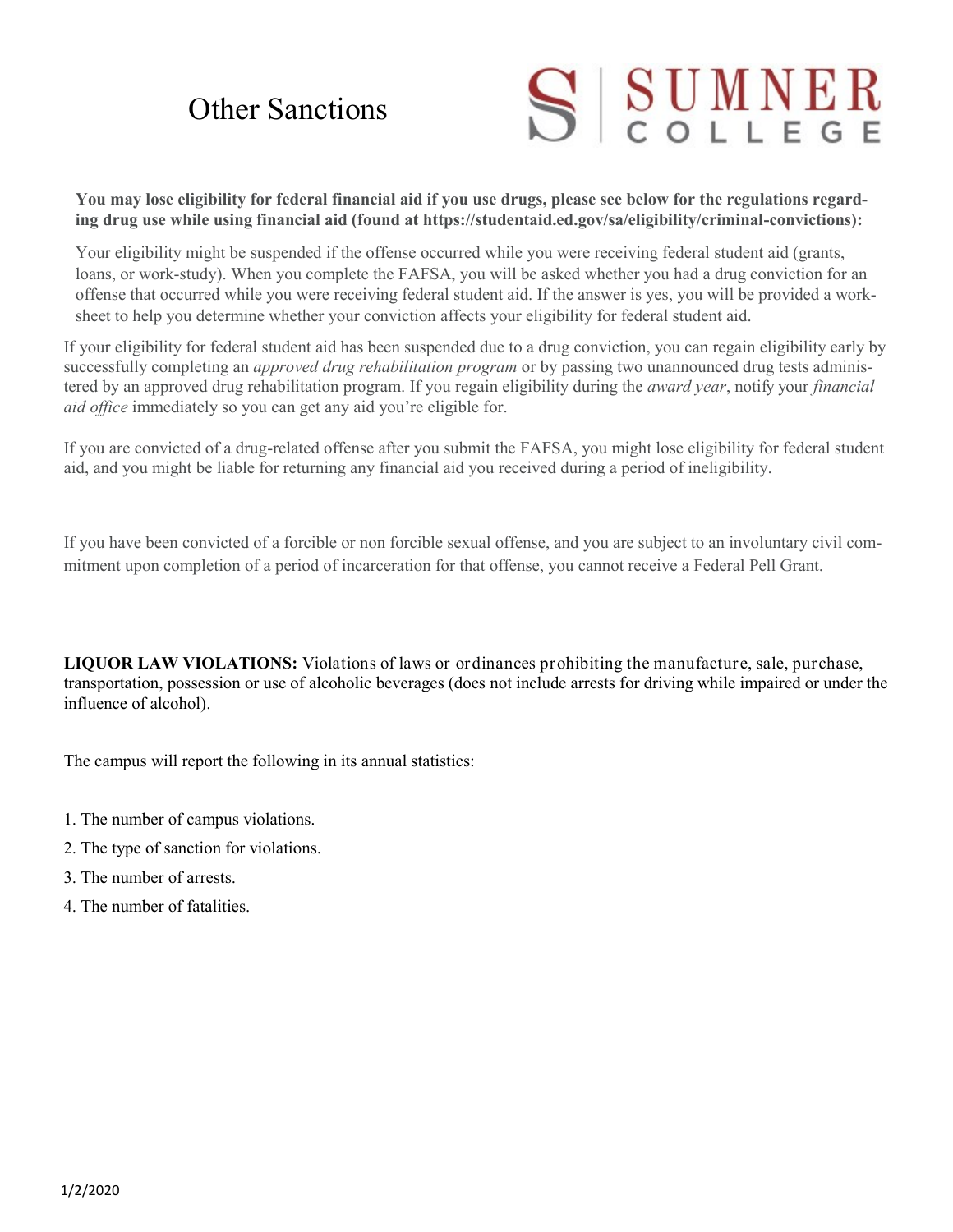# Other Sanctions



**You may lose eligibility for federal financial aid if you use drugs, please see below for the regulations regarding drug use while using financial aid (found at https://studentaid.ed.gov/sa/eligibility/criminal-convictions):**

Your eligibility might be suspended if the offense occurred while you were receiving federal student aid (grants, loans, or work-study). When you complete the FAFSA, you will be asked whether you had a drug conviction for an offense that occurred while you were receiving federal student aid. If the answer is yes, you will be provided a worksheet to help you determine whether your conviction affects your eligibility for federal student aid.

If your eligibility for federal student aid has been suspended due to a drug conviction, you can regain eligibility early by successfully completing an *approved drug rehabilitation program* or by passing two unannounced drug tests administered by an approved drug rehabilitation program. If you regain eligibility during the *award year*, notify your *financial aid office* immediately so you can get any aid you're eligible for.

If you are convicted of a drug-related offense after you submit the FAFSA, you might lose eligibility for federal student aid, and you might be liable for returning any financial aid you received during a period of ineligibility.

If you have been convicted of a forcible or non forcible sexual offense, and you are subject to an involuntary civil commitment upon completion of a period of incarceration for that offense, you cannot receive a Federal Pell Grant.

**LIQUOR LAW VIOLATIONS:** Violations of laws or ordinances prohibiting the manufacture, sale, purchase, transportation, possession or use of alcoholic beverages (does not include arrests for driving while impaired or under the influence of alcohol).

The campus will report the following in its annual statistics:

- 1. The number of campus violations.
- 2. The type of sanction for violations.
- 3. The number of arrests.
- 4. The number of fatalities.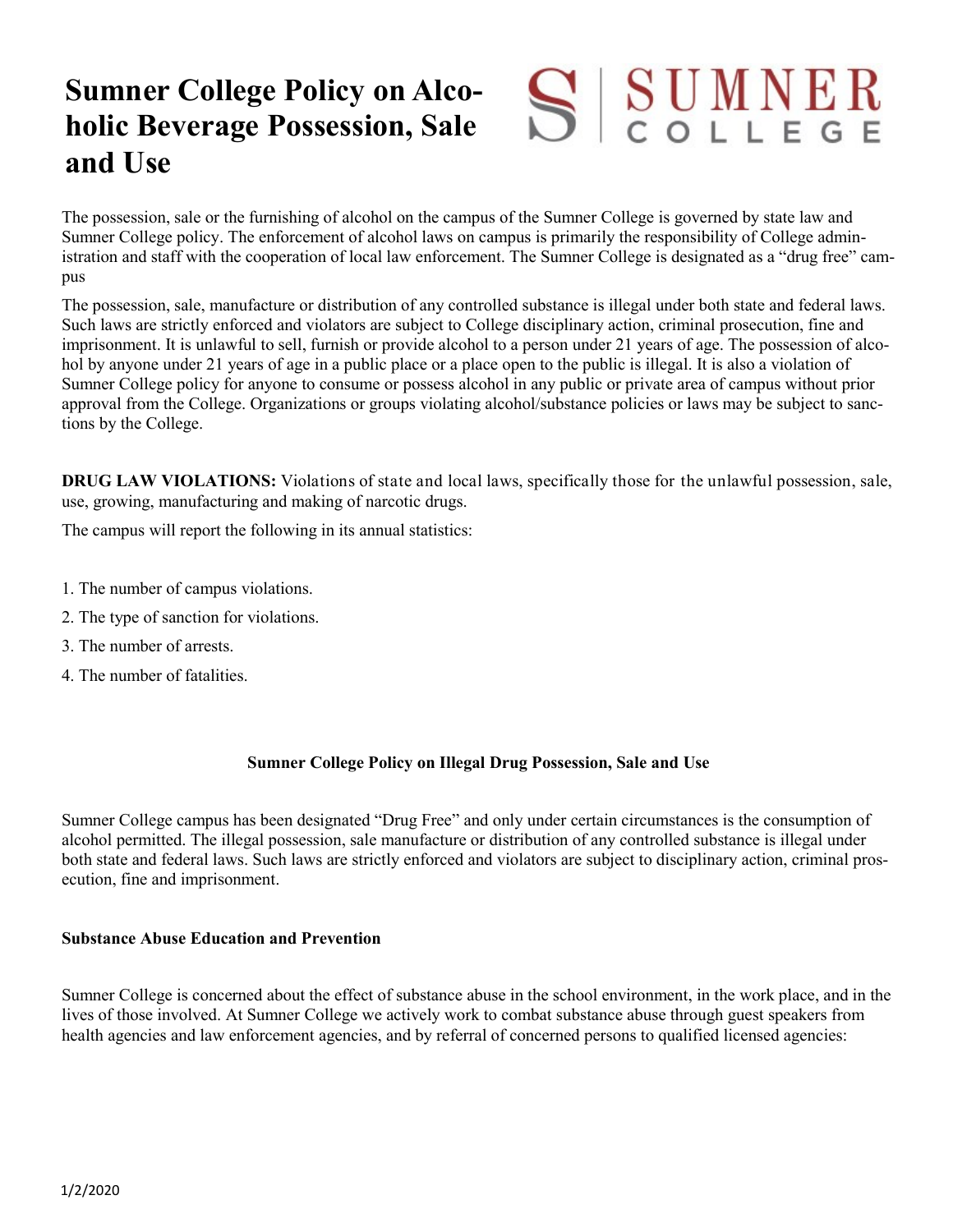# SSUMNER **Sumner College Policy on Alcoholic Beverage Possession, Sale and Use**

The possession, sale or the furnishing of alcohol on the campus of the Sumner College is governed by state law and Sumner College policy. The enforcement of alcohol laws on campus is primarily the responsibility of College administration and staff with the cooperation of local law enforcement. The Sumner College is designated as a "drug free" campus

The possession, sale, manufacture or distribution of any controlled substance is illegal under both state and federal laws. Such laws are strictly enforced and violators are subject to College disciplinary action, criminal prosecution, fine and imprisonment. It is unlawful to sell, furnish or provide alcohol to a person under 21 years of age. The possession of alcohol by anyone under 21 years of age in a public place or a place open to the public is illegal. It is also a violation of Sumner College policy for anyone to consume or possess alcohol in any public or private area of campus without prior approval from the College. Organizations or groups violating alcohol/substance policies or laws may be subject to sanctions by the College.

**DRUG LAW VIOLATIONS:** Violations of state and local laws, specifically those for the unlawful possession, sale, use, growing, manufacturing and making of narcotic drugs.

The campus will report the following in its annual statistics:

- 1. The number of campus violations.
- 2. The type of sanction for violations.
- 3. The number of arrests.
- 4. The number of fatalities.

## **Sumner College Policy on Illegal Drug Possession, Sale and Use**

Sumner College campus has been designated "Drug Free" and only under certain circumstances is the consumption of alcohol permitted. The illegal possession, sale manufacture or distribution of any controlled substance is illegal under both state and federal laws. Such laws are strictly enforced and violators are subject to disciplinary action, criminal prosecution, fine and imprisonment.

## **Substance Abuse Education and Prevention**

Sumner College is concerned about the effect of substance abuse in the school environment, in the work place, and in the lives of those involved. At Sumner College we actively work to combat substance abuse through guest speakers from health agencies and law enforcement agencies, and by referral of concerned persons to qualified licensed agencies: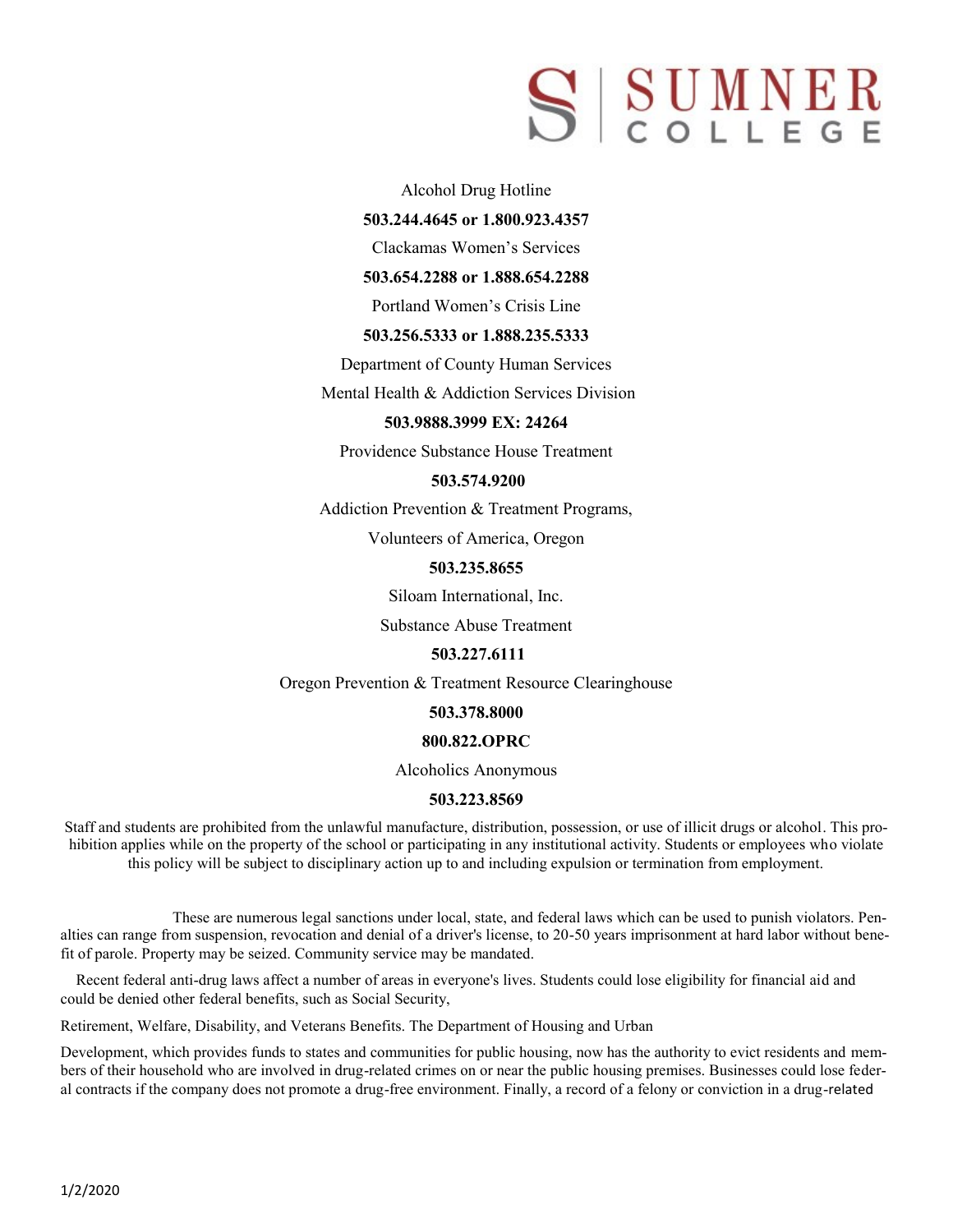# S SUMNER

Alcohol Drug Hotline

**503.244.4645 or 1.800.923.4357**

Clackamas Women's Services

**503.654.2288 or 1.888.654.2288**

Portland Women's Crisis Line

### **503.256.5333 or 1.888.235.5333**

Department of County Human Services

Mental Health & Addiction Services Division

### **503.9888.3999 EX: 24264**

Providence Substance House Treatment

### **503.574.9200**

Addiction Prevention & Treatment Programs,

Volunteers of America, Oregon

### **503.235.8655**

Siloam International, Inc.

Substance Abuse Treatment

#### **503.227.6111**

Oregon Prevention & Treatment Resource Clearinghouse

#### **503.378.8000**

#### **800.822.OPRC**

Alcoholics Anonymous

#### **503.223.8569**

Staff and students are prohibited from the unlawful manufacture, distribution, possession, or use of illicit drugs or alcohol. This prohibition applies while on the property of the school or participating in any institutional activity. Students or employees who violate this policy will be subject to disciplinary action up to and including expulsion or termination from employment.

These are numerous legal sanctions under local, state, and federal laws which can be used to punish violators. Penalties can range from suspension, revocation and denial of a driver's license, to 20-50 years imprisonment at hard labor without benefit of parole. Property may be seized. Community service may be mandated.

 Recent federal anti-drug laws affect a number of areas in everyone's lives. Students could lose eligibility for financial aid and could be denied other federal benefits, such as Social Security,

Retirement, Welfare, Disability, and Veterans Benefits. The Department of Housing and Urban

Development, which provides funds to states and communities for public housing, now has the authority to evict residents and members of their household who are involved in drug-related crimes on or near the public housing premises. Businesses could lose federal contracts if the company does not promote a drug-free environment. Finally, a record of a felony or conviction in a drug-related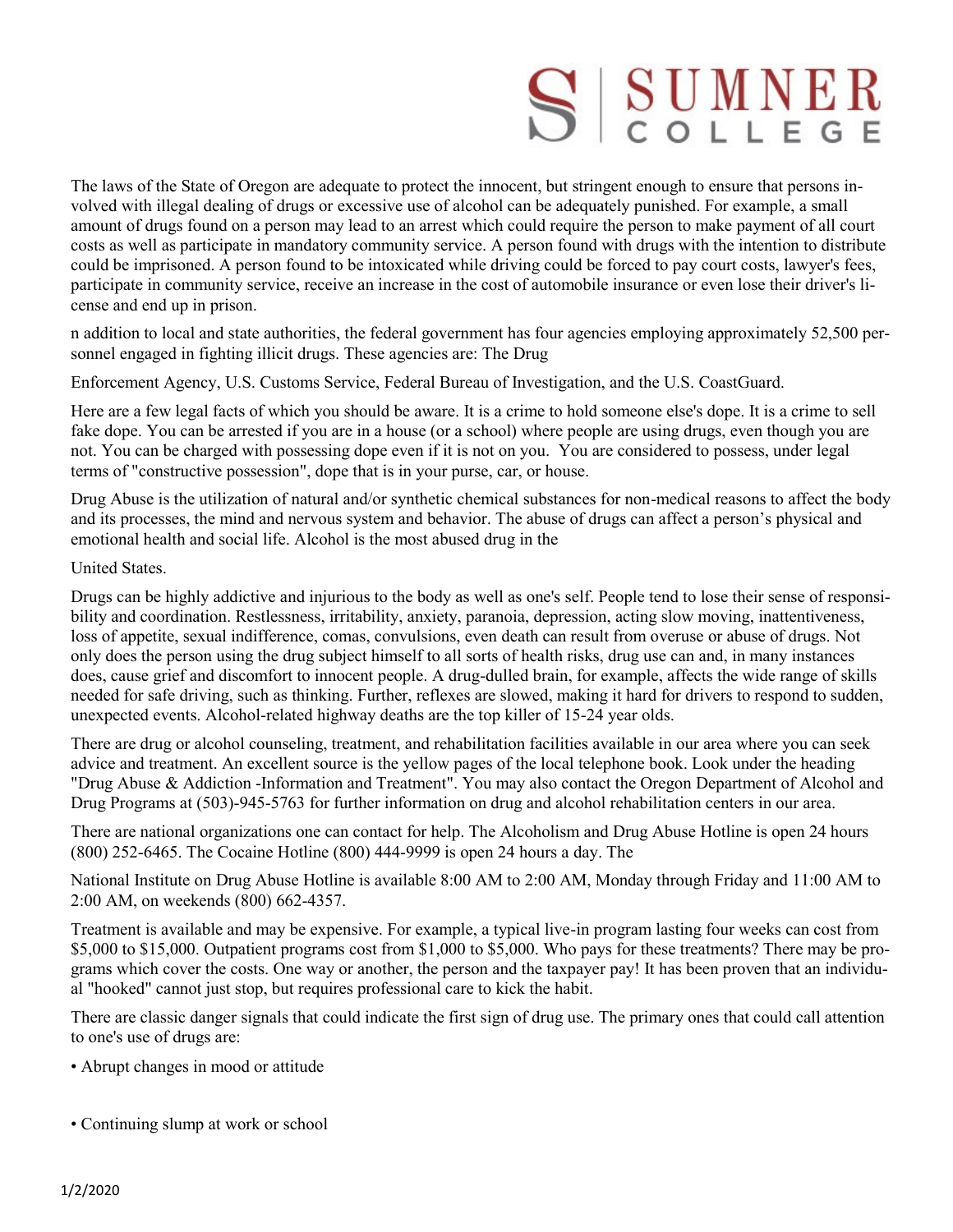# SSUMNER

The laws of the State of Oregon are adequate to protect the innocent, but stringent enough to ensure that persons involved with illegal dealing of drugs or excessive use of alcohol can be adequately punished. For example, a small amount of drugs found on a person may lead to an arrest which could require the person to make payment of all court costs as well as participate in mandatory community service. A person found with drugs with the intention to distribute could be imprisoned. A person found to be intoxicated while driving could be forced to pay court costs, lawyer's fees, participate in community service, receive an increase in the cost of automobile insurance or even lose their driver's license and end up in prison.

n addition to local and state authorities, the federal government has four agencies employing approximately 52,500 personnel engaged in fighting illicit drugs. These agencies are: The Drug

Enforcement Agency, U.S. Customs Service, Federal Bureau of Investigation, and the U.S. CoastGuard.

Here are a few legal facts of which you should be aware. It is a crime to hold someone else's dope. It is a crime to sell fake dope. You can be arrested if you are in a house (or a school) where people are using drugs, even though you are not. You can be charged with possessing dope even if it is not on you. You are considered to possess, under legal terms of "constructive possession", dope that is in your purse, car, or house.

Drug Abuse is the utilization of natural and/or synthetic chemical substances for non-medical reasons to affect the body and its processes, the mind and nervous system and behavior. The abuse of drugs can affect a person's physical and emotional health and social life. Alcohol is the most abused drug in the

## United States.

Drugs can be highly addictive and injurious to the body as well as one's self. People tend to lose their sense of responsibility and coordination. Restlessness, irritability, anxiety, paranoia, depression, acting slow moving, inattentiveness, loss of appetite, sexual indifference, comas, convulsions, even death can result from overuse or abuse of drugs. Not only does the person using the drug subject himself to all sorts of health risks, drug use can and, in many instances does, cause grief and discomfort to innocent people. A drug-dulled brain, for example, affects the wide range of skills needed for safe driving, such as thinking. Further, reflexes are slowed, making it hard for drivers to respond to sudden, unexpected events. Alcohol-related highway deaths are the top killer of 15-24 year olds.

There are drug or alcohol counseling, treatment, and rehabilitation facilities available in our area where you can seek advice and treatment. An excellent source is the yellow pages of the local telephone book. Look under the heading "Drug Abuse & Addiction -Information and Treatment". You may also contact the Oregon Department of Alcohol and Drug Programs at (503)-945-5763 for further information on drug and alcohol rehabilitation centers in our area.

There are national organizations one can contact for help. The Alcoholism and Drug Abuse Hotline is open 24 hours (800) 252-6465. The Cocaine Hotline (800) 444-9999 is open 24 hours a day. The

National Institute on Drug Abuse Hotline is available 8:00 AM to 2:00 AM, Monday through Friday and 11:00 AM to 2:00 AM, on weekends (800) 662-4357.

Treatment is available and may be expensive. For example, a typical live-in program lasting four weeks can cost from \$5,000 to \$15,000. Outpatient programs cost from \$1,000 to \$5,000. Who pays for these treatments? There may be programs which cover the costs. One way or another, the person and the taxpayer pay! It has been proven that an individual "hooked" cannot just stop, but requires professional care to kick the habit.

There are classic danger signals that could indicate the first sign of drug use. The primary ones that could call attention to one's use of drugs are:

- Abrupt changes in mood or attitude
- Continuing slump at work or school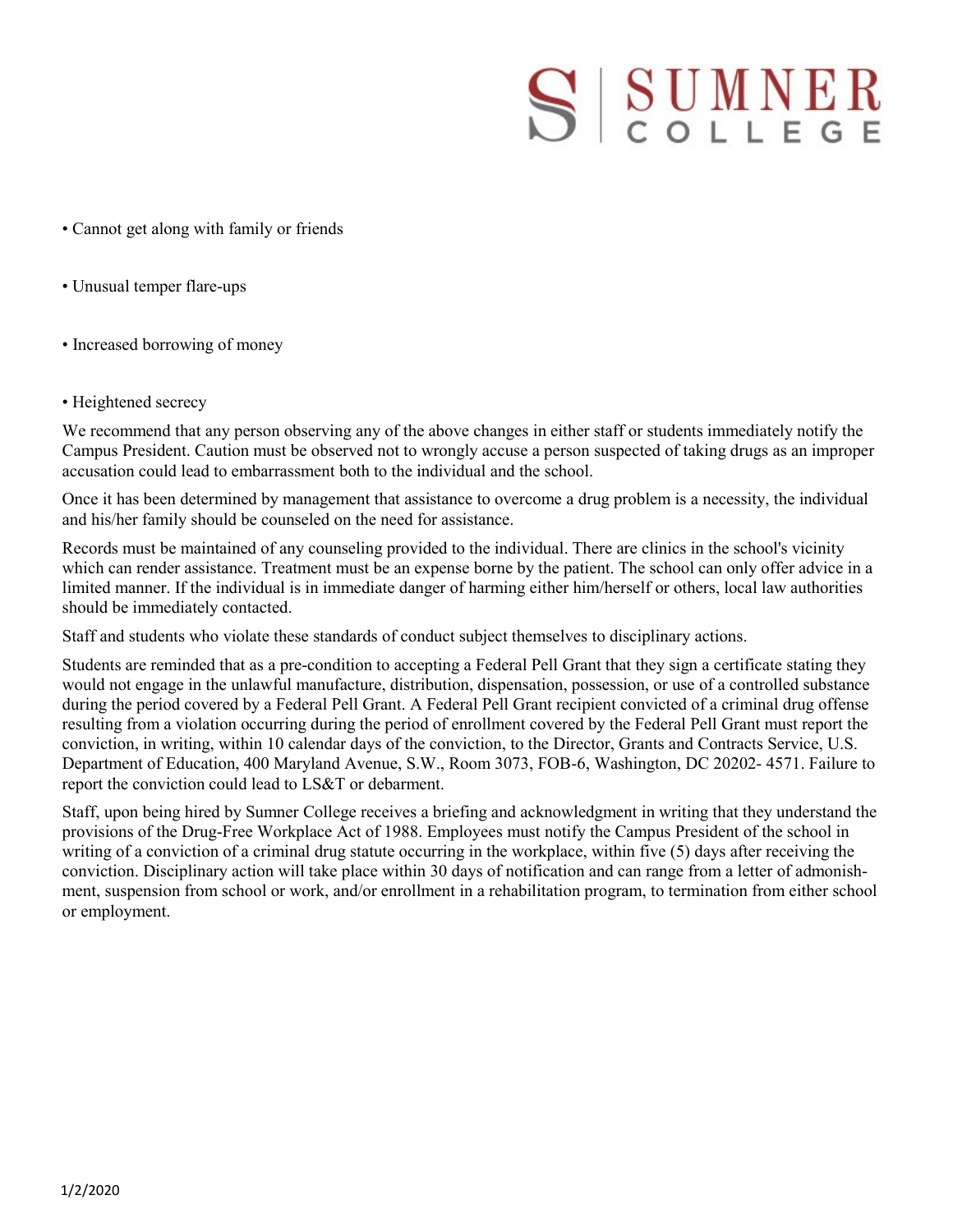# SSUMNER

- Cannot get along with family or friends
- Unusual temper flare-ups
- Increased borrowing of money
- Heightened secrecy

We recommend that any person observing any of the above changes in either staff or students immediately notify the Campus President. Caution must be observed not to wrongly accuse a person suspected of taking drugs as an improper accusation could lead to embarrassment both to the individual and the school.

Once it has been determined by management that assistance to overcome a drug problem is a necessity, the individual and his/her family should be counseled on the need for assistance.

Records must be maintained of any counseling provided to the individual. There are clinics in the school's vicinity which can render assistance. Treatment must be an expense borne by the patient. The school can only offer advice in a limited manner. If the individual is in immediate danger of harming either him/herself or others, local law authorities should be immediately contacted.

Staff and students who violate these standards of conduct subject themselves to disciplinary actions.

Students are reminded that as a pre-condition to accepting a Federal Pell Grant that they sign a certificate stating they would not engage in the unlawful manufacture, distribution, dispensation, possession, or use of a controlled substance during the period covered by a Federal Pell Grant. A Federal Pell Grant recipient convicted of a criminal drug offense resulting from a violation occurring during the period of enrollment covered by the Federal Pell Grant must report the conviction, in writing, within 10 calendar days of the conviction, to the Director, Grants and Contracts Service, U.S. Department of Education, 400 Maryland Avenue, S.W., Room 3073, FOB-6, Washington, DC 20202- 4571. Failure to report the conviction could lead to LS&T or debarment.

Staff, upon being hired by Sumner College receives a briefing and acknowledgment in writing that they understand the provisions of the Drug-Free Workplace Act of 1988. Employees must notify the Campus President of the school in writing of a conviction of a criminal drug statute occurring in the workplace, within five (5) days after receiving the conviction. Disciplinary action will take place within 30 days of notification and can range from a letter of admonishment, suspension from school or work, and/or enrollment in a rehabilitation program, to termination from either school or employment.